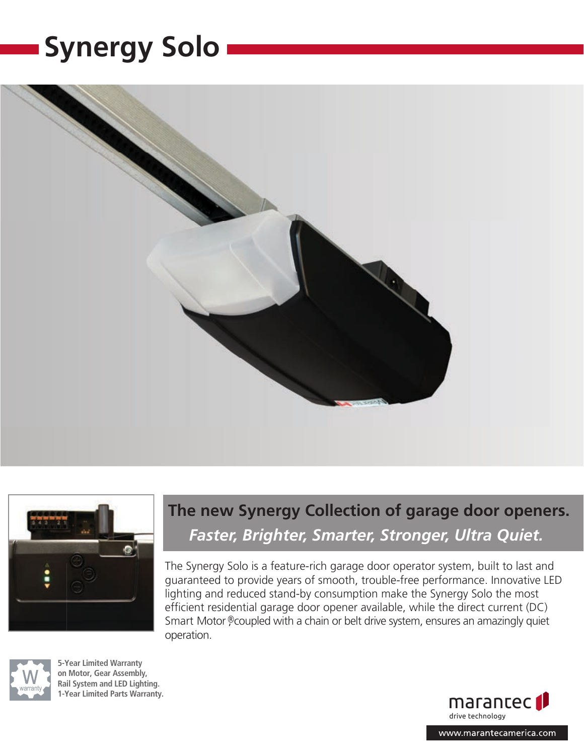# **Synergy Solo**







**5 -Y ear Limited Warranty** on Motor, Gear Assembly, **Rail System and LED Lighting. 1 -Y ear Limited Parts Warranty.**

# **The new Synergy Collection of garage door openers.** *Faster, Brighter, Smarter, Stronger, Ultra Quiet.*

The Synergy Solo is a feature-rich garage door operator system, built to last and guaranteed to provide years of smooth, trouble-free performance. Innovative LED lighting and reduced stand-by consumption make the Synergy Solo the most efficient residential garage door opener available, while the direct current (DC) Smart Motor<sup>®</sup>, coupled with a chain or belt drive system, ensures an amazingly quiet operation.